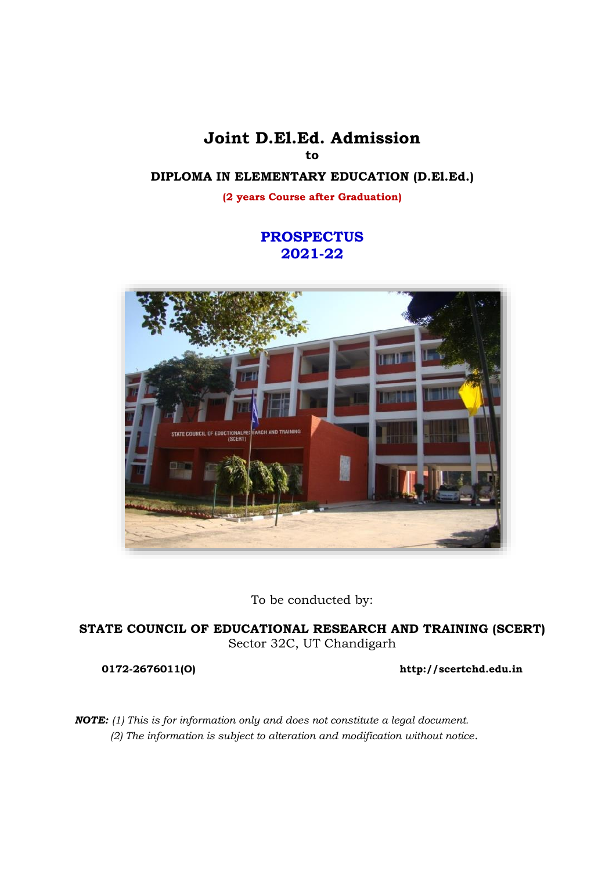**Joint D.El.Ed. Admission to**

## **DIPLOMA IN ELEMENTARY EDUCATION (D.El.Ed.)**

**(2 years Course after Graduation)**

## **PROSPECTUS 2021-22**



To be conducted by:

**STATE COUNCIL OF EDUCATIONAL RESEARCH AND TRAINING (SCERT)** Sector 32C, UT Chandigarh

**0172-2676011(O) [http://scertchd.edu.in](http://siechd.nic.in/)**

*NOTE: (1) This is for information only and does not constitute a legal document. (2) The information is subject to alteration and modification without notice.*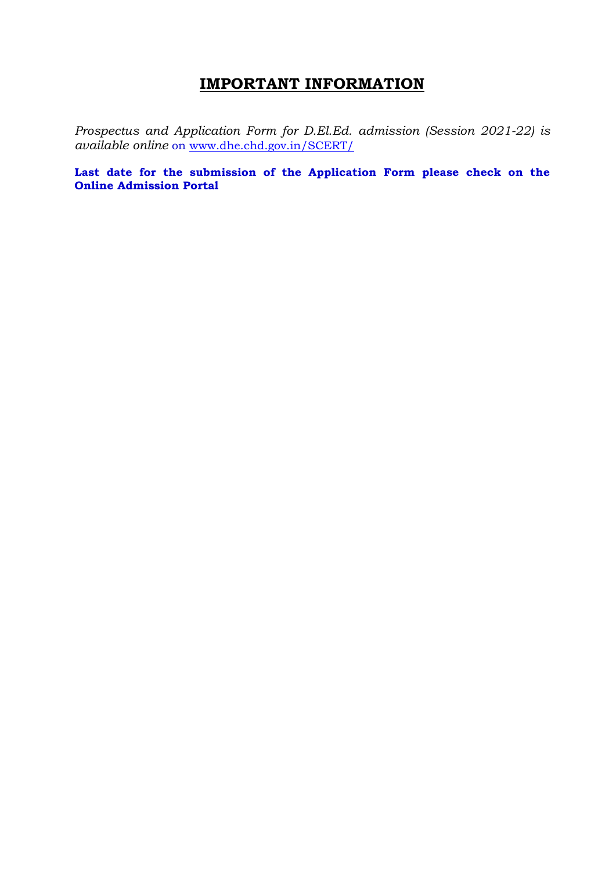## **IMPORTANT INFORMATION**

*Prospectus and Application Form for D.El.Ed. admission (Session 2021-22) is available online* on [www.dhe.chd.gov.in/SCERT/](http://www.dhe.chd.gov.in/SCERT/)

**Last date for the submission of the Application Form please check on the Online Admission Portal**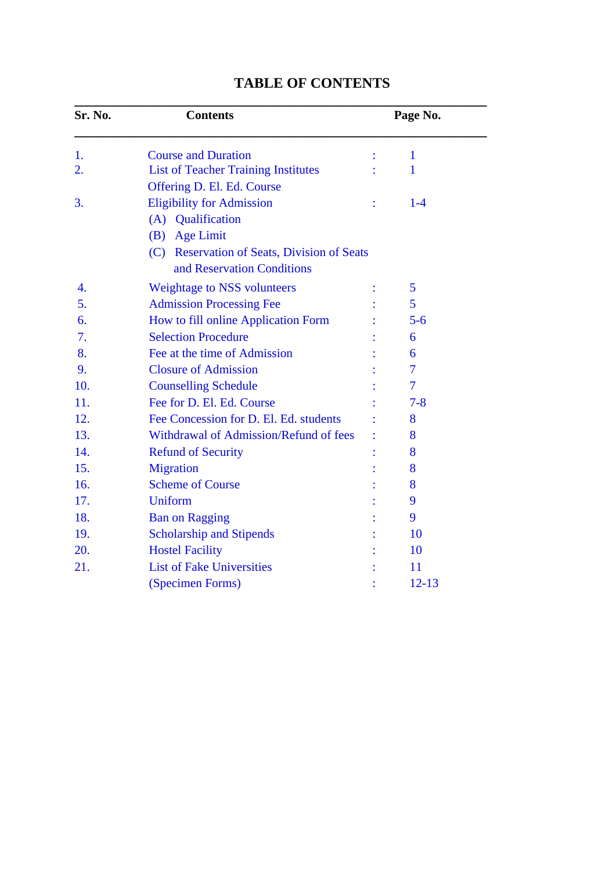| Sr. No. | <b>Contents</b>                                                                            |   | Page No.       |  |
|---------|--------------------------------------------------------------------------------------------|---|----------------|--|
| 1.      | <b>Course and Duration</b>                                                                 |   | $\mathbf{1}$   |  |
| 2.      | <b>List of Teacher Training Institutes</b><br>Offering D. El. Ed. Course                   |   | 1              |  |
| 3.      | <b>Eligibility for Admission</b><br>(A) Qualification                                      | ÷ | $1 - 4$        |  |
|         | (B) Age Limit<br>(C) Reservation of Seats, Division of Seats<br>and Reservation Conditions |   |                |  |
| 4.      | <b>Weightage to NSS volunteers</b>                                                         |   | 5              |  |
| 5.      | <b>Admission Processing Fee</b>                                                            |   | 5              |  |
| 6.      | How to fill online Application Form                                                        |   | $5 - 6$        |  |
| 7.      | <b>Selection Procedure</b>                                                                 |   | 6              |  |
| 8.      | Fee at the time of Admission                                                               |   | 6              |  |
| 9.      | <b>Closure of Admission</b>                                                                |   | $\overline{7}$ |  |
| 10.     | <b>Counselling Schedule</b>                                                                |   | $\overline{7}$ |  |
| 11.     | Fee for D. El. Ed. Course                                                                  |   | $7 - 8$        |  |
| 12.     | Fee Concession for D. El. Ed. students                                                     |   | 8              |  |
| 13.     | Withdrawal of Admission/Refund of fees                                                     |   | 8              |  |
| 14.     | <b>Refund of Security</b>                                                                  |   | 8              |  |
| 15.     | <b>Migration</b>                                                                           |   | 8              |  |
| 16.     | <b>Scheme of Course</b>                                                                    |   | 8              |  |
| 17.     | Uniform                                                                                    |   | 9              |  |
| 18.     | <b>Ban on Ragging</b>                                                                      |   | 9              |  |
| 19.     | <b>Scholarship and Stipends</b>                                                            |   | 10             |  |
| 20.     | <b>Hostel Facility</b>                                                                     |   | 10             |  |
| 21.     | <b>List of Fake Universities</b>                                                           |   | 11             |  |
|         | (Specimen Forms)                                                                           |   | $12 - 13$      |  |

## **TABLE OF CONTENTS**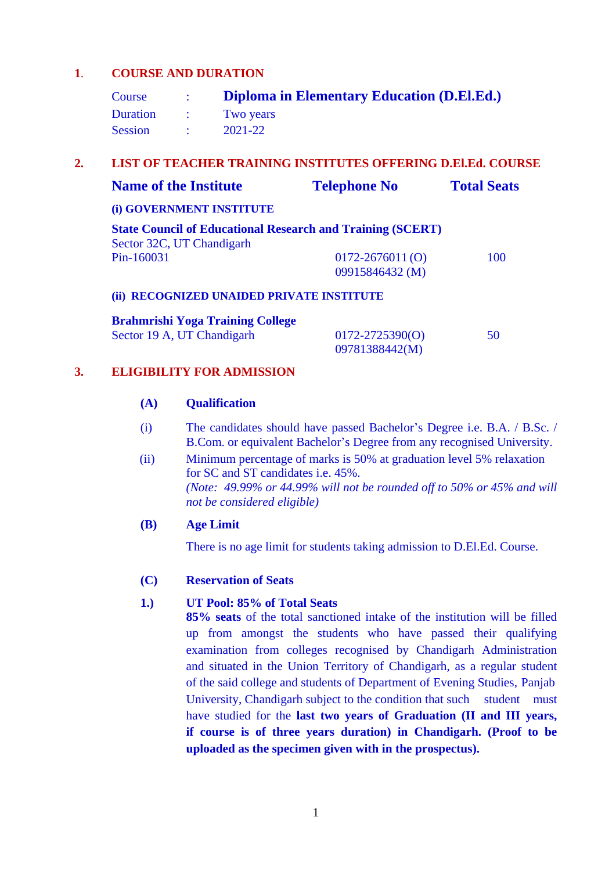## **1**. **COURSE AND DURATION**

| Course          |               | Diploma in Elementary Education (D.El.Ed.) |
|-----------------|---------------|--------------------------------------------|
| <b>Duration</b> | $\mathcal{L}$ | Two years                                  |
| <b>Session</b>  |               | 2021-22                                    |

## **2. LIST OF TEACHER TRAINING INSTITUTES OFFERING D.El.Ed. COURSE**

| <b>Name of the Institute</b>                                                                   | <b>Telephone No</b> | <b>Total Seats</b> |
|------------------------------------------------------------------------------------------------|---------------------|--------------------|
| (i) GOVERNMENT INSTITUTE                                                                       |                     |                    |
| <b>State Council of Educational Research and Training (SCERT)</b><br>Sector 32C, UT Chandigarh |                     |                    |
| Pin-160031                                                                                     | $0172 - 2676011(0)$ | 100                |
|                                                                                                | 09915846432 (M)     |                    |
| (ii) RECOGNIZED UNAIDED PRIVATE INSTITUTE                                                      |                     |                    |
| <b>Brahmrishi Yoga Training College</b>                                                        |                     |                    |
| Sector 19 A, UT Chandigarh                                                                     | $0172 - 2725390(0)$ | 50                 |
|                                                                                                | 09781388442(M)      |                    |

## **3. ELIGIBILITY FOR ADMISSION**

#### **(A) Qualification**

- (i) The candidates should have passed Bachelor's Degree i.e. B.A. / B.Sc. / B.Com. or equivalent Bachelor's Degree from any recognised University.
- (ii) Minimum percentage of marks is 50% at graduation level 5% relaxation for SC and ST candidates i.e. 45%. *(Note: 49.99% or 44.99% will not be rounded off to 50% or 45% and will not be considered eligible)*

#### **(B) Age Limit**

There is no age limit for students taking admission to D.El.Ed. Course.

#### **(C) Reservation of Seats**

#### **1.) UT Pool: 85% of Total Seats**

**85% seats** of the total sanctioned intake of the institution will be filled up from amongst the students who have passed their qualifying examination from colleges recognised by Chandigarh Administration and situated in the Union Territory of Chandigarh, as a regular student of the said college and students of Department of Evening Studies, Panjab University, Chandigarh subject to the condition that such student must have studied for the **last two years of Graduation (II and III years, if course is of three years duration) in Chandigarh. (Proof to be uploaded as the specimen given with in the prospectus).**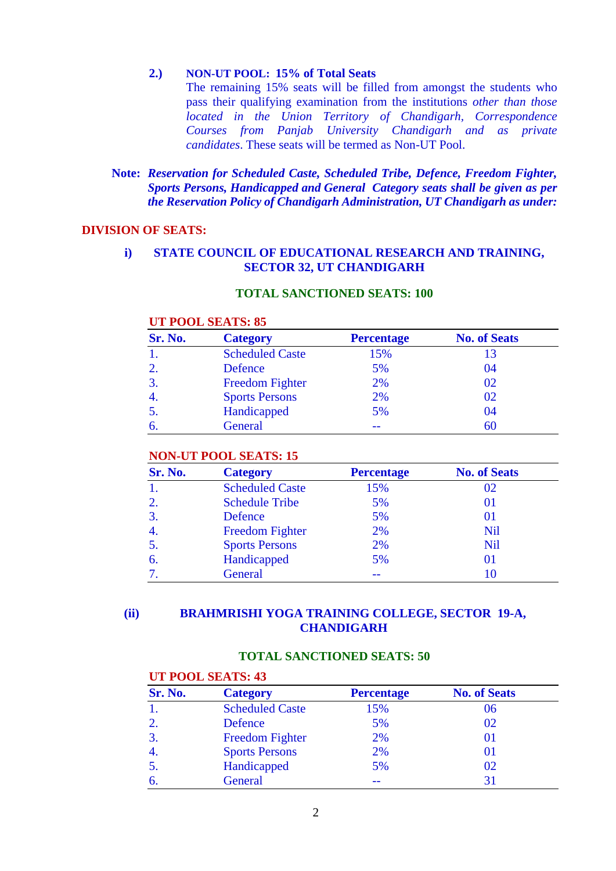#### **2.) NON-UT POOL: 15% of Total Seats**

The remaining 15% seats will be filled from amongst the students who pass their qualifying examination from the institutions *other than those located in the Union Territory of Chandigarh, Correspondence Courses from Panjab University Chandigarh and as private candidates*. These seats will be termed as Non-UT Pool.

## **Note:** *Reservation for Scheduled Caste, Scheduled Tribe, Defence, Freedom Fighter, Sports Persons, Handicapped and General Category seats shall be given as per the Reservation Policy of Chandigarh Administration, UT Chandigarh as under:*

#### **DIVISION OF SEATS:**

## **i)****STATE COUNCIL OF EDUCATIONAL RESEARCH AND TRAINING, SECTOR 32, UT CHANDIGARH**

## **TOTAL SANCTIONED SEATS: 100**

#### **UT POOL SEATS: 85**

| Sr. No.      | <b>Category</b>        | <b>Percentage</b> | <b>No. of Seats</b> |
|--------------|------------------------|-------------------|---------------------|
|              | <b>Scheduled Caste</b> | 15%               | 13                  |
| $\mathbf{2}$ | Defence                | 5%                | 04                  |
| $\mathbf{3}$ | <b>Freedom Fighter</b> | 2%                | 02                  |
| -4.          | <b>Sports Persons</b>  | 2%                | 02                  |
|              | Handicapped            | 5%                | 04                  |
|              | General                |                   | 60                  |

#### **NON-UT POOL SEATS: 15**

| Sr. No. | <b>Category</b>        | <b>Percentage</b> | <b>No. of Seats</b> |
|---------|------------------------|-------------------|---------------------|
|         | <b>Scheduled Caste</b> | 15%               | 02                  |
| 2.      | <b>Schedule Tribe</b>  | 5%                | 01                  |
| 3.      | Defence                | 5%                | 01                  |
| 4.      | <b>Freedom Fighter</b> | 2%                | <b>Nil</b>          |
| 5.      | <b>Sports Persons</b>  | 2%                | Nil                 |
| 6.      | Handicapped            | 5%                | 01                  |
|         | General                |                   | 10                  |

## **(ii) BRAHMRISHI YOGA TRAINING COLLEGE, SECTOR 19-A, CHANDIGARH**

## **TOTAL SANCTIONED SEATS: 50**

#### **UT POOL SEATS: 43**

| Sr. No.        | <b>Category</b>        | <b>Percentage</b> | <b>No. of Seats</b> |
|----------------|------------------------|-------------------|---------------------|
|                | <b>Scheduled Caste</b> | 15%               | 06                  |
|                | Defence                | 5%                | 02                  |
| $\mathfrak{Z}$ | <b>Freedom Fighter</b> | 2%                | 01                  |
|                | <b>Sports Persons</b>  | 2%                | 01                  |
|                | Handicapped            | 5%                | 02                  |
|                | General                |                   | 31                  |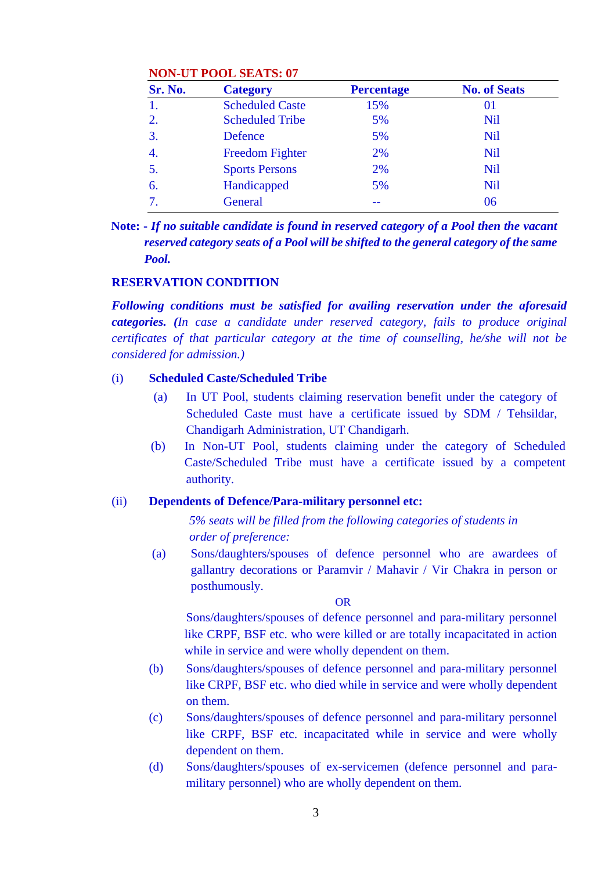## **NON-UT POOL SEATS: 07**

| Sr. No.          | <b>Category</b>        | <b>Percentage</b> | <b>No. of Seats</b> |
|------------------|------------------------|-------------------|---------------------|
|                  | <b>Scheduled Caste</b> | 15%               | 01                  |
| 2.               | <b>Scheduled Tribe</b> | 5%                | <b>Nil</b>          |
| 3.               | Defence                | 5%                | Nil                 |
| $\overline{4}$ . | <b>Freedom Fighter</b> | 2%                | <b>Nil</b>          |
| 5.               | <b>Sports Persons</b>  | 2%                | Nil                 |
| 6.               | Handicapped            | 5%                | <b>Nil</b>          |
| $\tau$ .         | General                |                   | 06                  |

**Note: -** *If no suitable candidate is found in reserved category of a Pool then the vacant reserved category seats of a Pool will be shifted to the general category of the same Pool.*

#### **RESERVATION CONDITION**

*Following conditions must be satisfied for availing reservation under the aforesaid categories. (In case a candidate under reserved category, fails to produce original certificates of that particular category at the time of counselling, he/she will not be considered for admission.)*

#### (i) **Scheduled Caste/Scheduled Tribe**

- (a) In UT Pool, students claiming reservation benefit under the category of Scheduled Caste must have a certificate issued by SDM / Tehsildar, Chandigarh Administration, UT Chandigarh.
- (b) In Non-UT Pool, students claiming under the category of Scheduled Caste/Scheduled Tribe must have a certificate issued by a competent authority.

#### (ii) **Dependents of Defence/Para-military personnel etc:**

 *5% seats will be filled from the following categories of students in order of preference:*

 (a) Sons/daughters/spouses of defence personnel who are awardees of gallantry decorations or Paramvir / Mahavir / Vir Chakra in person or posthumously.

OR

Sons/daughters/spouses of defence personnel and para-military personnel like CRPF, BSF etc. who were killed or are totally incapacitated in action while in service and were wholly dependent on them.

- (b) Sons/daughters/spouses of defence personnel and para-military personnel like CRPF, BSF etc. who died while in service and were wholly dependent on them.
- (c) Sons/daughters/spouses of defence personnel and para-military personnel like CRPF, BSF etc. incapacitated while in service and were wholly dependent on them.
- (d) Sons/daughters/spouses of ex-servicemen (defence personnel and paramilitary personnel) who are wholly dependent on them.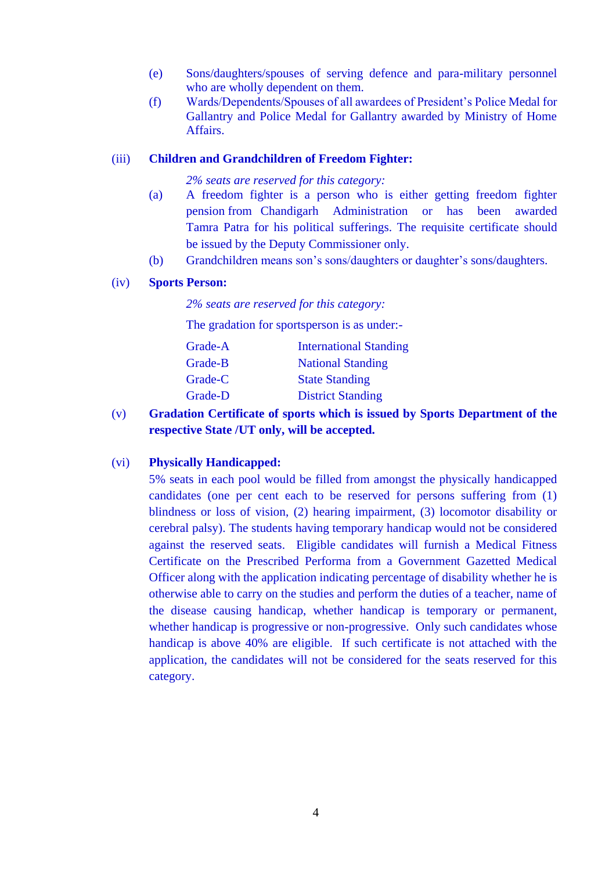- (e) Sons/daughters/spouses of serving defence and para-military personnel who are wholly dependent on them.
- (f) Wards/Dependents/Spouses of all awardees of President's Police Medal for Gallantry and Police Medal for Gallantry awarded by Ministry of Home Affairs.

#### (iii) **Children and Grandchildren of Freedom Fighter:**

#### *2% seats are reserved for this category:*

- (a) A freedom fighter is a person who is either getting freedom fighter pension from Chandigarh Administration or has been awarded Tamra Patra for his political sufferings. The requisite certificate should be issued by the Deputy Commissioner only.
- (b) Grandchildren means son's sons/daughters or daughter's sons/daughters.

#### (iv) **Sports Person:**

*2% seats are reserved for this category:*

The gradation for sportsperson is as under:-

| <b>International Standing</b> |
|-------------------------------|
| <b>National Standing</b>      |
| <b>State Standing</b>         |
| <b>District Standing</b>      |
|                               |

(v) **Gradation Certificate of sports which is issued by Sports Department of the respective State /UT only, will be accepted.** 

#### (vi) **Physically Handicapped:**

5% seats in each pool would be filled from amongst the physically handicapped candidates (one per cent each to be reserved for persons suffering from (1) blindness or loss of vision, (2) hearing impairment, (3) locomotor disability or cerebral palsy). The students having temporary handicap would not be considered against the reserved seats. Eligible candidates will furnish a Medical Fitness Certificate on the Prescribed Performa from a Government Gazetted Medical Officer along with the application indicating percentage of disability whether he is otherwise able to carry on the studies and perform the duties of a teacher, name of the disease causing handicap, whether handicap is temporary or permanent, whether handicap is progressive or non-progressive. Only such candidates whose handicap is above 40% are eligible. If such certificate is not attached with the application, the candidates will not be considered for the seats reserved for this category.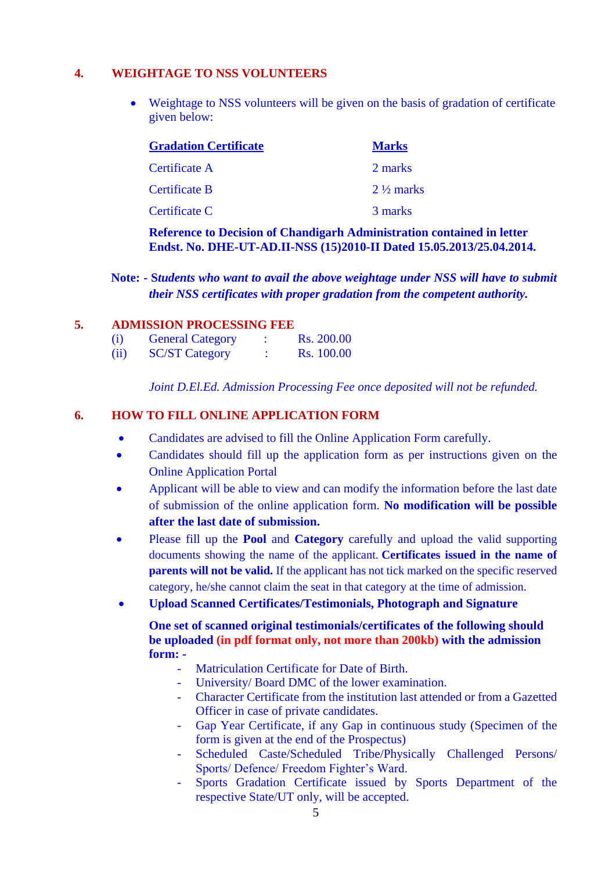## **4. WEIGHTAGE TO NSS VOLUNTEERS**

 Weightage to NSS volunteers will be given on the basis of gradation of certificate given below:

| <b>Gradation Certificate</b> | <b>Marks</b>         |
|------------------------------|----------------------|
| Certificate A                | 2 marks              |
| Certificate B                | $2\frac{1}{2}$ marks |
| Certificate C                | 3 marks              |

## **Reference to Decision of Chandigarh Administration contained in letter Endst. No. DHE-UT-AD.II-NSS (15)2010-II Dated 15.05.2013/25.04.2014.**

**Note: - S***tudents who want to avail the above weightage under NSS will have to submit their NSS certificates with proper gradation from the competent authority.* 

## **5. ADMISSION PROCESSING FEE**

| (i)  | <b>General Category</b> | Rs. 200.00 |
|------|-------------------------|------------|
| (ii) | <b>SC/ST Category</b>   | Rs. 100.00 |

*Joint D.El.Ed. Admission Processing Fee once deposited will not be refunded.* 

## **6. HOW TO FILL ONLINE APPLICATION FORM**

- Candidates are advised to fill the Online Application Form carefully.
- Candidates should fill up the application form as per instructions given on the Online Application Portal
- Applicant will be able to view and can modify the information before the last date of submission of the online application form. **No modification will be possible after the last date of submission.**
- Please fill up the **Pool** and **Category** carefully and upload the valid supporting documents showing the name of the applicant. **Certificates issued in the name of parents will not be valid.** If the applicant has not tick marked on the specific reserved category, he/she cannot claim the seat in that category at the time of admission.

## **Upload Scanned Certificates/Testimonials, Photograph and Signature**

**One set of scanned original testimonials/certificates of the following should be uploaded (in pdf format only, not more than 200kb) with the admission form: -**

- Matriculation Certificate for Date of Birth.
- University/ Board DMC of the lower examination.
- Character Certificate from the institution last attended or from a Gazetted Officer in case of private candidates.
- Gap Year Certificate, if any Gap in continuous study (Specimen of the form is given at the end of the Prospectus)
- Scheduled Caste/Scheduled Tribe/Physically Challenged Persons/ Sports/ Defence/ Freedom Fighter's Ward.
- Sports Gradation Certificate issued by Sports Department of the respective State/UT only, will be accepted.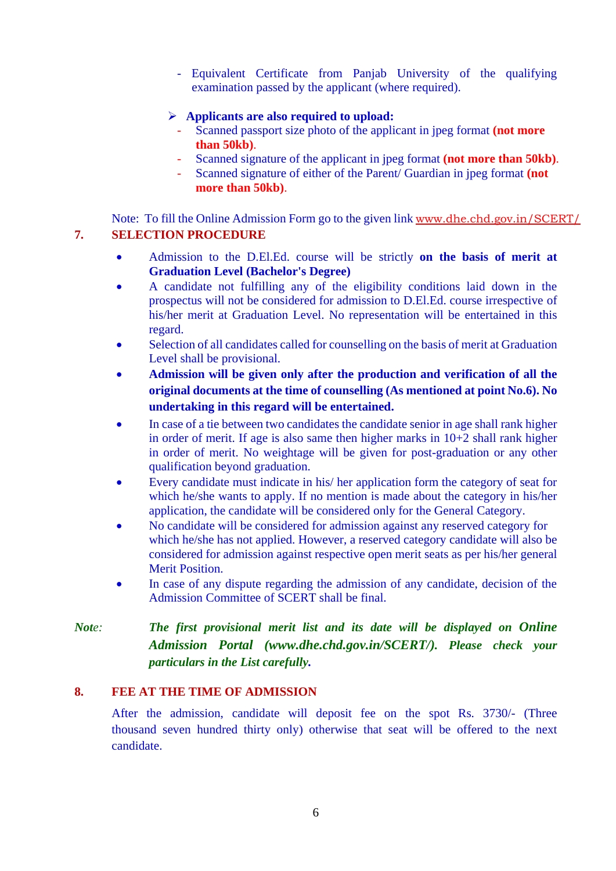- Equivalent Certificate from Panjab University of the qualifying examination passed by the applicant (where required).

## **Applicants are also required to upload:**

- Scanned passport size photo of the applicant in jpeg format **(not more than 50kb)**.
- Scanned signature of the applicant in jpeg format **(not more than 50kb)**.
- Scanned signature of either of the Parent/ Guardian in jpeg format **(not more than 50kb)**.

Note: To fill the Online Admission Form go to the given link [www.dhe.chd.gov.in/SCERT/](file:///F:/Online%20Prospectus%202020-21/www.dhe.chd.gov.in) **7. SELECTION PROCEDURE** 

- Admission to the D.El.Ed. course will be strictly **on the basis of merit at Graduation Level (Bachelor's Degree)**
- A candidate not fulfilling any of the eligibility conditions laid down in the prospectus will not be considered for admission to D.El.Ed. course irrespective of his/her merit at Graduation Level. No representation will be entertained in this regard.
- Selection of all candidates called for counselling on the basis of merit at Graduation Level shall be provisional.
- **Admission will be given only after the production and verification of all the original documents at the time of counselling (As mentioned at point No.6). No undertaking in this regard will be entertained.**
- In case of a tie between two candidates the candidate senior in age shall rank higher in order of merit. If age is also same then higher marks in 10+2 shall rank higher in order of merit. No weightage will be given for post-graduation or any other qualification beyond graduation.
- Every candidate must indicate in his/ her application form the category of seat for which he/she wants to apply. If no mention is made about the category in his/her application, the candidate will be considered only for the General Category.
- No candidate will be considered for admission against any reserved category for which he/she has not applied. However, a reserved category candidate will also be considered for admission against respective open merit seats as per his/her general Merit Position.
- In case of any dispute regarding the admission of any candidate, decision of the Admission Committee of SCERT shall be final.

*Note: The first provisional merit list and its date will be displayed on Online Admission Portal (www.dhe.chd.gov.in/SCERT/). Please check your particulars in the List carefully.*

## **8. FEE AT THE TIME OF ADMISSION**

After the admission, candidate will deposit fee on the spot Rs. 3730/- (Three thousand seven hundred thirty only) otherwise that seat will be offered to the next candidate.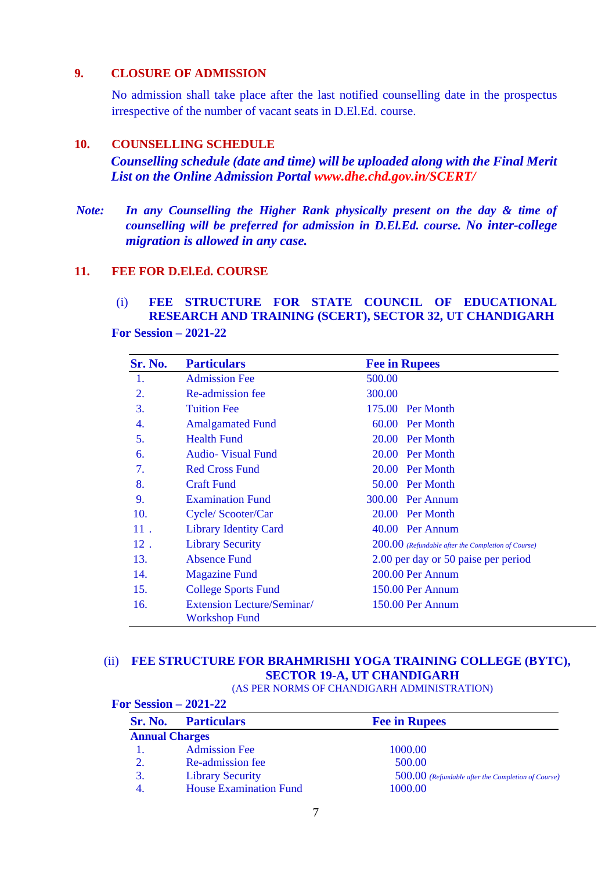## **9. CLOSURE OF ADMISSION**

No admission shall take place after the last notified counselling date in the prospectus irrespective of the number of vacant seats in D.El.Ed. course.

### **10. COUNSELLING SCHEDULE**

*Counselling schedule (date and time) will be uploaded along with the Final Merit List on the Online Admission Portal www.dhe.chd.gov.in/SCERT/*

 *Note: In any Counselling the Higher Rank physically present on the day & time of counselling will be preferred for admission in D.El.Ed. course. No inter-college migration is allowed in any case.* 

## **11. FEE FOR D.El.Ed. COURSE**

## (i) **FEE STRUCTURE FOR STATE COUNCIL OF EDUCATIONAL RESEARCH AND TRAINING (SCERT), SECTOR 32, UT CHANDIGARH**

**For Session – 2021-22**

| Sr. No. | <b>Particulars</b>                                        | <b>Fee in Rupees</b>                                 |
|---------|-----------------------------------------------------------|------------------------------------------------------|
| 1.      | <b>Admission Fee</b>                                      | 500.00                                               |
| 2.      | Re-admission fee                                          | 300.00                                               |
| 3.      | <b>Tuition Fee</b>                                        | 175.00 Per Month                                     |
| 4.      | <b>Amalgamated Fund</b>                                   | 60.00 Per Month                                      |
| 5.      | <b>Health Fund</b>                                        | 20.00 Per Month                                      |
| 6.      | <b>Audio-</b> Visual Fund                                 | 20.00 Per Month                                      |
| 7.      | <b>Red Cross Fund</b>                                     | 20.00 Per Month                                      |
| 8.      | <b>Craft Fund</b>                                         | 50.00 Per Month                                      |
| 9.      | <b>Examination Fund</b>                                   | 300.00 Per Annum                                     |
| 10.     | Cycle/Scooter/Car                                         | 20.00 Per Month                                      |
| 11.     | <b>Library Identity Card</b>                              | 40.00 Per Annum                                      |
| $12$ .  | <b>Library Security</b>                                   | $200.00$ (Refundable after the Completion of Course) |
| 13.     | <b>Absence Fund</b>                                       | 2.00 per day or 50 paise per period                  |
| 14.     | <b>Magazine Fund</b>                                      | 200.00 Per Annum                                     |
| 15.     | <b>College Sports Fund</b>                                | 150.00 Per Annum                                     |
| 16.     | <b>Extension Lecture/Seminar/</b><br><b>Workshop Fund</b> | 150.00 Per Annum                                     |

## (ii) **FEE STRUCTURE FOR BRAHMRISHI YOGA TRAINING COLLEGE (BYTC), SECTOR 19-A, UT CHANDIGARH**

(AS PER NORMS OF CHANDIGARH ADMINISTRATION)

| For Session $-2021-22$ |                               |                                                      |  |  |  |
|------------------------|-------------------------------|------------------------------------------------------|--|--|--|
| <b>Sr. No.</b>         | <b>Particulars</b>            | <b>Fee in Rupees</b>                                 |  |  |  |
| <b>Annual Charges</b>  |                               |                                                      |  |  |  |
|                        | <b>Admission Fee</b>          | 1000.00                                              |  |  |  |
| 2.                     | Re-admission fee              | 500.00                                               |  |  |  |
| 3.                     | <b>Library Security</b>       | $500.00$ (Refundable after the Completion of Course) |  |  |  |
| -4.                    | <b>House Examination Fund</b> | 1000.00                                              |  |  |  |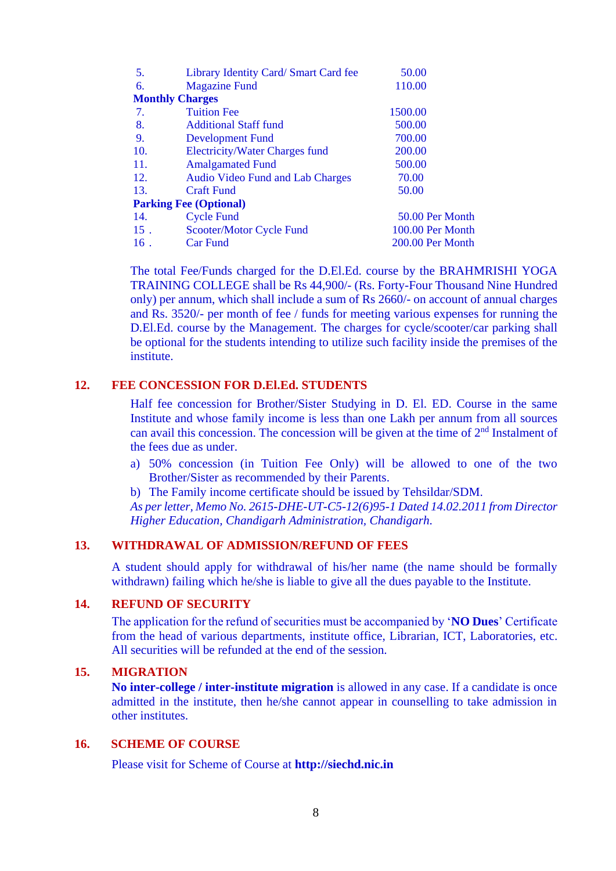| 5.     | Library Identity Card/ Smart Card fee   | 50.00            |
|--------|-----------------------------------------|------------------|
| 6.     | <b>Magazine Fund</b>                    | 110.00           |
|        | <b>Monthly Charges</b>                  |                  |
| 7.     | <b>Tuition Fee</b>                      | 1500.00          |
| 8.     | <b>Additional Staff fund</b>            | 500.00           |
| 9.     | <b>Development Fund</b>                 | 700.00           |
| 10.    | <b>Electricity/Water Charges fund</b>   | 200.00           |
| 11.    | <b>Amalgamated Fund</b>                 | 500.00           |
| 12.    | <b>Audio Video Fund and Lab Charges</b> | 70.00            |
| 13.    | <b>Craft Fund</b>                       | 50.00            |
|        | <b>Parking Fee (Optional)</b>           |                  |
| 14.    | <b>Cycle Fund</b>                       | 50.00 Per Month  |
| $15$ . | Scooter/Motor Cycle Fund                | 100.00 Per Month |
| $16$ . | <b>Car Fund</b>                         | 200.00 Per Month |
|        |                                         |                  |

The total Fee/Funds charged for the D.El.Ed. course by the BRAHMRISHI YOGA TRAINING COLLEGE shall be Rs 44,900/- (Rs. Forty-Four Thousand Nine Hundred only) per annum, which shall include a sum of Rs 2660/- on account of annual charges and Rs. 3520/- per month of fee / funds for meeting various expenses for running the D.El.Ed. course by the Management. The charges for cycle/scooter/car parking shall be optional for the students intending to utilize such facility inside the premises of the institute.

# **12. FEE CONCESSION FOR D.El.Ed. STUDENTS**

Half fee concession for Brother/Sister Studying in D. El. ED. Course in the same Institute and whose family income is less than one Lakh per annum from all sources can avail this concession. The concession will be given at the time of  $2<sup>nd</sup>$  Instalment of the fees due as under.

- a) 50% concession (in Tuition Fee Only) will be allowed to one of the two Brother/Sister as recommended by their Parents.
- b) The Family income certificate should be issued by Tehsildar/SDM.

*As per letter, Memo No. 2615-DHE-UT-C5-12(6)95-1 Dated 14.02.2011 from Director Higher Education, Chandigarh Administration, Chandigarh.*

#### **13. WITHDRAWAL OF ADMISSION/REFUND OF FEES**

A student should apply for withdrawal of his/her name (the name should be formally withdrawn) failing which he/she is liable to give all the dues payable to the Institute.

#### **14. REFUND OF SECURITY**

The application for the refund of securities must be accompanied by '**NO Dues**' Certificate from the head of various departments, institute office, Librarian, ICT, Laboratories, etc. All securities will be refunded at the end of the session.

#### **15. MIGRATION**

**No inter-college / inter-institute migration** is allowed in any case. If a candidate is once admitted in the institute, then he/she cannot appear in counselling to take admission in other institutes.

#### **16. SCHEME OF COURSE**

Please visit for Scheme of Course at **http://siechd.nic.in**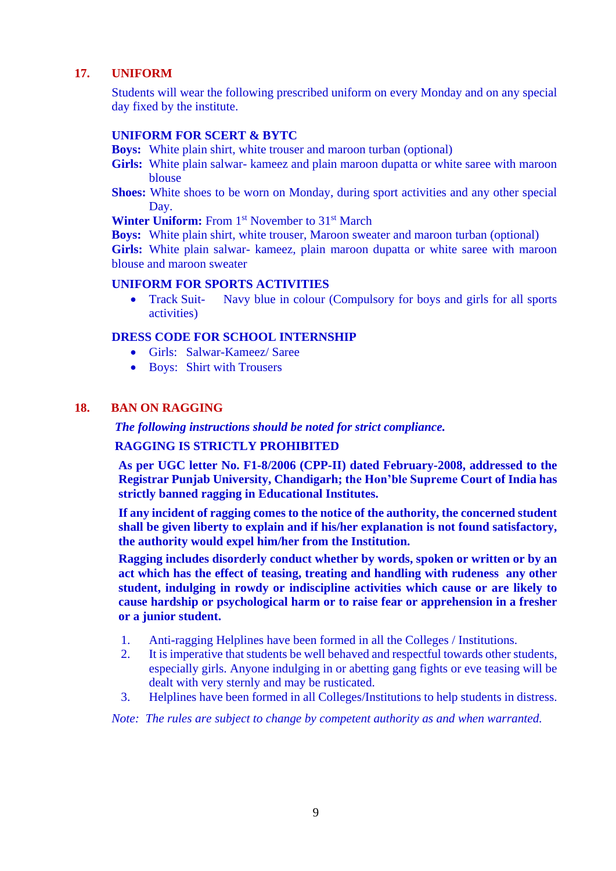## **17. UNIFORM**

Students will wear the following prescribed uniform on every Monday and on any special day fixed by the institute.

#### **UNIFORM FOR SCERT & BYTC**

**Boys:** White plain shirt, white trouser and maroon turban (optional)

- Girls: White plain salwar- kameez and plain maroon dupatta or white saree with maroon blouse
- **Shoes:** White shoes to be worn on Monday, during sport activities and any other special Day.

Winter Uniform: From 1<sup>st</sup> November to 31<sup>st</sup> March

**Boys:** White plain shirt, white trouser, Maroon sweater and maroon turban (optional) **Girls:** White plain salwar- kameez, plain maroon dupatta or white saree with maroon blouse and maroon sweater

## **UNIFORM FOR SPORTS ACTIVITIES**

• Track Suit- Navy blue in colour (Compulsory for boys and girls for all sports activities)

#### **DRESS CODE FOR SCHOOL INTERNSHIP**

- Girls: Salwar-Kameez/ Saree
- Boys: Shirt with Trousers

#### **18. BAN ON RAGGING**

*The following instructions should be noted for strict compliance.*

#### **RAGGING IS STRICTLY PROHIBITED**

**As per UGC letter No. F1-8/2006 (CPP-II) dated February-2008, addressed to the Registrar Punjab University, Chandigarh; the Hon'ble Supreme Court of India has strictly banned ragging in Educational Institutes.**

**If any incident of ragging comes to the notice of the authority, the concerned student shall be given liberty to explain and if his/her explanation is not found satisfactory, the authority would expel him/her from the Institution.** 

**Ragging includes disorderly conduct whether by words, spoken or written or by an act which has the effect of teasing, treating and handling with rudeness any other student, indulging in rowdy or indiscipline activities which cause or are likely to cause hardship or psychological harm or to raise fear or apprehension in a fresher or a junior student.**

- 1. Anti-ragging Helplines have been formed in all the Colleges / Institutions.
- 2. It is imperative that students be well behaved and respectful towards other students, especially girls. Anyone indulging in or abetting gang fights or eve teasing will be dealt with very sternly and may be rusticated.
- 3. Helplines have been formed in all Colleges/Institutions to help students in distress.

*Note: The rules are subject to change by competent authority as and when warranted.*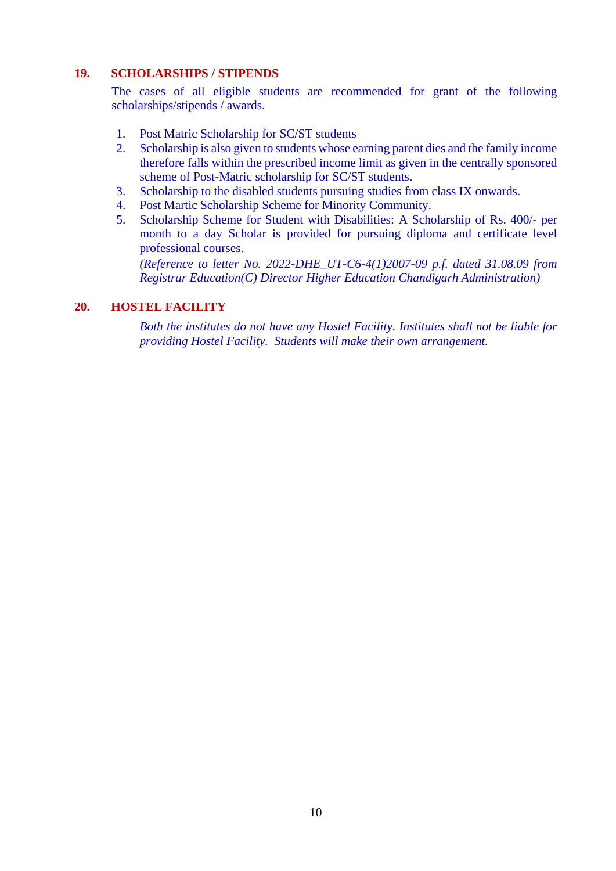## **19. SCHOLARSHIPS / STIPENDS**

The cases of all eligible students are recommended for grant of the following scholarships/stipends / awards.

- 1. Post Matric Scholarship for SC/ST students
- 2. Scholarship is also given to students whose earning parent dies and the family income therefore falls within the prescribed income limit as given in the centrally sponsored scheme of Post-Matric scholarship for SC/ST students.
- 3. Scholarship to the disabled students pursuing studies from class IX onwards.
- 4. Post Martic Scholarship Scheme for Minority Community.
- 5. Scholarship Scheme for Student with Disabilities: A Scholarship of Rs. 400/- per month to a day Scholar is provided for pursuing diploma and certificate level professional courses.

*(Reference to letter No. 2022-DHE\_UT-C6-4(1)2007-09 p.f. dated 31.08.09 from Registrar Education(C) Director Higher Education Chandigarh Administration)*

#### **20. HOSTEL FACILITY**

*Both the institutes do not have any Hostel Facility. Institutes shall not be liable for providing Hostel Facility. Students will make their own arrangement.*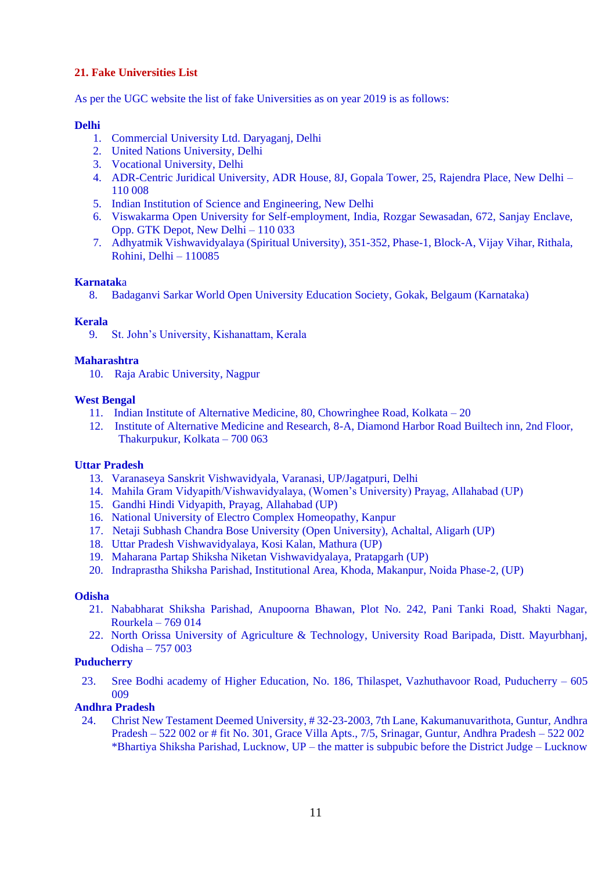## **21. Fake Universities List**

As per the UGC website the list of fake Universities as on year 2019 is as follows:

#### **Delhi**

- 1. Commercial University Ltd. Daryaganj, Delhi
- 2. United Nations University, Delhi
- 3. Vocational University, Delhi
- 4. ADR-Centric Juridical University, ADR House, 8J, Gopala Tower, 25, Rajendra Place, New Delhi 110 008
- 5. Indian Institution of Science and Engineering, New Delhi
- 6. Viswakarma Open University for Self-employment, India, Rozgar Sewasadan, 672, Sanjay Enclave, Opp. GTK Depot, New Delhi – 110 033
- 7. Adhyatmik Vishwavidyalaya (Spiritual University), 351-352, Phase-1, Block-A, Vijay Vihar, Rithala, Rohini, Delhi – 110085

#### **Karnatak**a

8. Badaganvi Sarkar World Open University Education Society, Gokak, Belgaum (Karnataka)

#### **Kerala**

9. St. John's University, Kishanattam, Kerala

#### **Maharashtra**

10. Raja Arabic University, Nagpur

#### **West Bengal**

- 11. Indian Institute of Alternative Medicine, 80, Chowringhee Road, Kolkata 20
- 12. Institute of Alternative Medicine and Research, 8-A, Diamond Harbor Road Builtech inn, 2nd Floor, Thakurpukur, Kolkata – 700 063

#### **Uttar Pradesh**

- 13. Varanaseya Sanskrit Vishwavidyala, Varanasi, UP/Jagatpuri, Delhi
- 14. Mahila Gram Vidyapith/Vishwavidyalaya, (Women's University) Prayag, Allahabad (UP)
- 15. Gandhi Hindi Vidyapith, Prayag, Allahabad (UP)
- 16. National University of Electro Complex Homeopathy, Kanpur
- 17. Netaji Subhash Chandra Bose University (Open University), Achaltal, Aligarh (UP)
- 18. Uttar Pradesh Vishwavidyalaya, Kosi Kalan, Mathura (UP)
- 19. Maharana Partap Shiksha Niketan Vishwavidyalaya, Pratapgarh (UP)
- 20. Indraprastha Shiksha Parishad, Institutional Area, Khoda, Makanpur, Noida Phase-2, (UP)

#### **Odisha**

- 21. Nababharat Shiksha Parishad, Anupoorna Bhawan, Plot No. 242, Pani Tanki Road, Shakti Nagar, Rourkela – 769 014
- 22. North Orissa University of Agriculture & Technology, University Road Baripada, Distt. Mayurbhanj, Odisha – 757 003

#### **Puducherry**

23. Sree Bodhi academy of Higher Education, No. 186, Thilaspet, Vazhuthavoor Road, Puducherry – 605 009

## **Andhra Pradesh**

24. Christ New Testament Deemed University, # 32-23-2003, 7th Lane, Kakumanuvarithota, Guntur, Andhra Pradesh – 522 002 or # fit No. 301, Grace Villa Apts., 7/5, Srinagar, Guntur, Andhra Pradesh – 522 002 \*Bhartiya Shiksha Parishad, Lucknow, UP – the matter is subpubic before the District Judge – Lucknow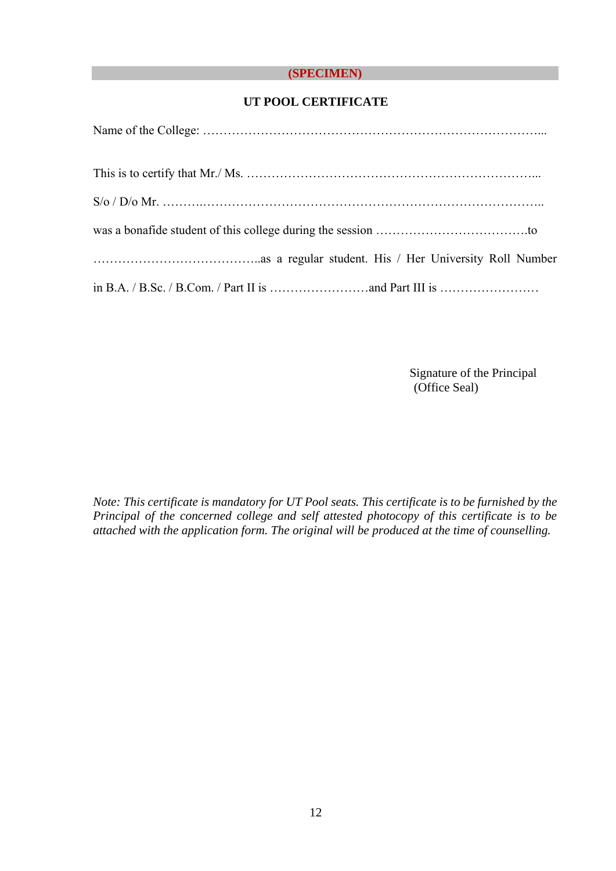## **(SPECIMEN)**

## **UT POOL CERTIFICATE**

Signature of the Principal (Office Seal)

*Note: This certificate is mandatory for UT Pool seats. This certificate is to be furnished by the Principal of the concerned college and self attested photocopy of this certificate is to be attached with the application form. The original will be produced at the time of counselling.*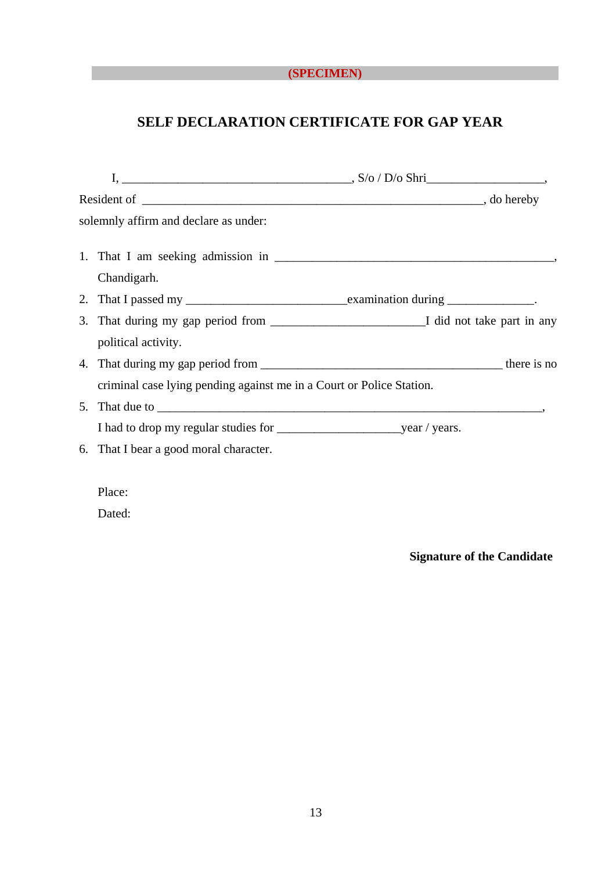## **(SPECIMEN)**

# **SELF DECLARATION CERTIFICATE FOR GAP YEAR**

| solemnly affirm and declare as under:                                |  |  |
|----------------------------------------------------------------------|--|--|
|                                                                      |  |  |
| Chandigarh.                                                          |  |  |
|                                                                      |  |  |
|                                                                      |  |  |
| political activity.                                                  |  |  |
|                                                                      |  |  |
| criminal case lying pending against me in a Court or Police Station. |  |  |
|                                                                      |  |  |
|                                                                      |  |  |
| 6. That I bear a good moral character.                               |  |  |
|                                                                      |  |  |
| Place:                                                               |  |  |
| Dated:                                                               |  |  |

**Signature of the Candidate**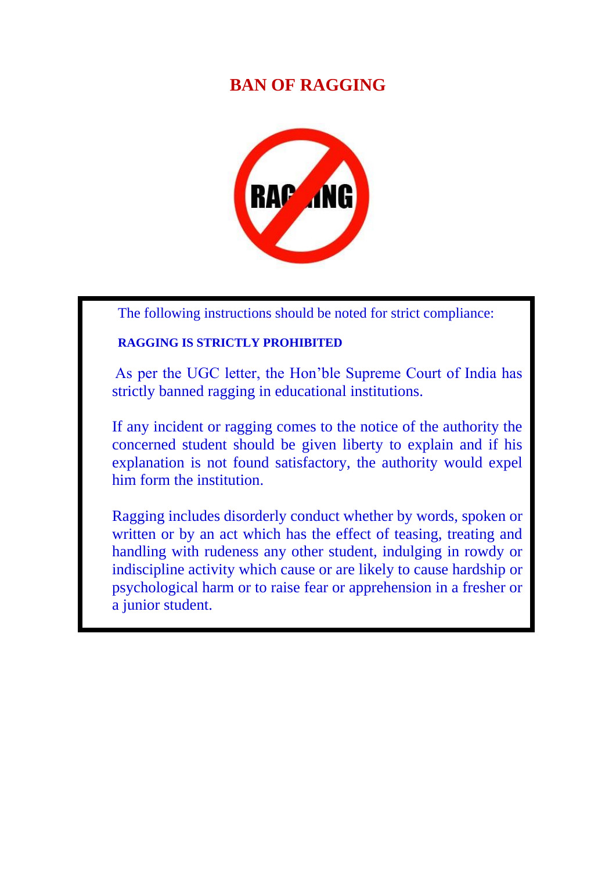# **BAN OF RAGGING**



The following instructions should be noted for strict compliance:

## **RAGGING IS STRICTLY PROHIBITED**

As per the UGC letter, the Hon'ble Supreme Court of India has strictly banned ragging in educational institutions.

If any incident or ragging comes to the notice of the authority the concerned student should be given liberty to explain and if his explanation is not found satisfactory, the authority would expel him form the institution.

Ragging includes disorderly conduct whether by words, spoken or written or by an act which has the effect of teasing, treating and handling with rudeness any other student, indulging in rowdy or indiscipline activity which cause or are likely to cause hardship or psychological harm or to raise fear or apprehension in a fresher or a junior student.